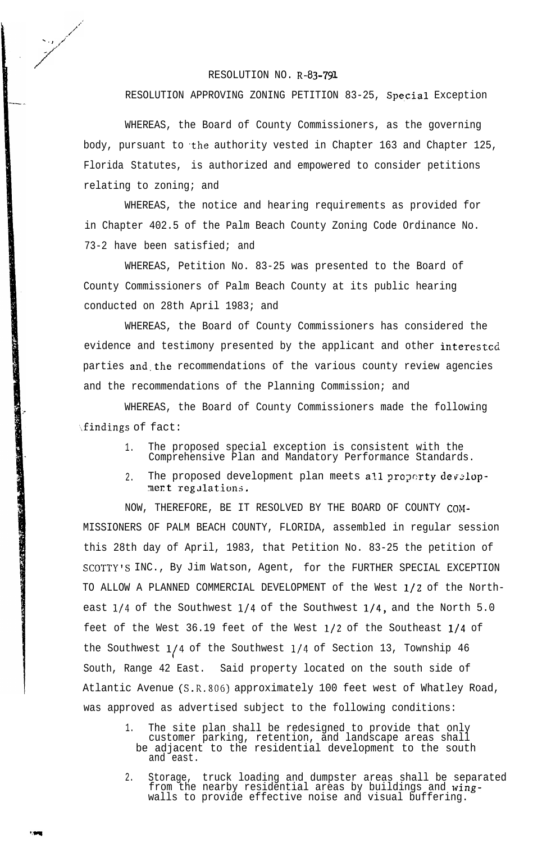## RESOLUTION NO. R-83-791

- ., /f

/

,<br>مر<br>مر

## RESOLUTION APPROVING ZONING PETITION 83-25, Special Exception

WHEREAS, the Board of County Commissioners, as the governing body, pursuant to the authority vested in Chapter 163 and Chapter 125, Florida Statutes, is authorized and empowered to consider petitions relating to zoning; and

WHEREAS, the notice and hearing requirements as provided for in Chapter 402.5 of the Palm Beach County Zoning Code Ordinance No. 73-2 have been satisfied; and

WHEREAS, Petition No. 83-25 was presented to the Board of County Commissioners of Palm Beach County at its public hearing conducted on 28th April 1983; and

WHEREAS, the Board of County Commissioners has considered the evidence and testimony presented by the applicant and other interested parties and.the recommendations of the various county review agencies and the recommendations of the Planning Commission; and

WHEREAS, the Board of County Commissioners made the following \findings of fact:

- 1. The proposed special exception is consistent with the Comprehensive Plan and Mandatory Performance Standards.
- 2. The proposed development plan meets all property development regulations.

NOW, THEREFORE, BE IT RESOLVED BY THE BOARD OF COUNTY COM-MISSIONERS OF PALM BEACH COUNTY, FLORIDA, assembled in regular session this 28th day of April, 1983, that Petition No. 83-25 the petition of SCOTTY'S INC., By Jim Watson, Agent, for the FURTHER SPECIAL EXCEPTION TO ALLOW A PLANNED COMMERCIAL DEVELOPMENT of the West l/2 of the Northeast 1/4 of the Southwest 1/4 of the Southwest 1/4, and the North 5.0 feet of the West 36.19 feet of the West l/2 of the Southeast l/4 of the Southwest l/4 of the Southwest l/4 of Section 13, Township 46 I South, Range 42 East. Said property located on the south side of Atlantic Avenue (S.R.SOG) approximately 100 feet west of Whatley Road, was approved as advertised subject to the following conditions:

- 1. The site plan shall be redesigned to provide that only customer parking, retention, and landscape areas shall be adjacent to the residential development to the south and east.
- 2. Storage, truck loading and dumpster areas shall be separated from the nearby residential areas by buildings and wingwalls to provide effective noise and visual buffering.